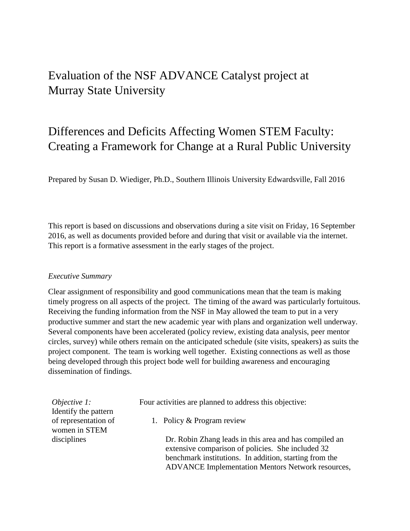## Evaluation of the NSF ADVANCE Catalyst project at Murray State University

## Differences and Deficits Affecting Women STEM Faculty: Creating a Framework for Change at a Rural Public University

Prepared by Susan D. Wiediger, Ph.D., Southern Illinois University Edwardsville, Fall 2016

This report is based on discussions and observations during a site visit on Friday, 16 September 2016, as well as documents provided before and during that visit or available via the internet. This report is a formative assessment in the early stages of the project.

## *Executive Summary*

Clear assignment of responsibility and good communications mean that the team is making timely progress on all aspects of the project. The timing of the award was particularly fortuitous. Receiving the funding information from the NSF in May allowed the team to put in a very productive summer and start the new academic year with plans and organization well underway. Several components have been accelerated (policy review, existing data analysis, peer mentor circles, survey) while others remain on the anticipated schedule (site visits, speakers) as suits the project component. The team is working well together. Existing connections as well as those being developed through this project bode well for building awareness and encouraging dissemination of findings.

*Objective 1:* Identify the pattern of representation of women in STEM disciplines

Four activities are planned to address this objective:

1. Policy & Program review

Dr. Robin Zhang leads in this area and has compiled an extensive comparison of policies. She included 32 benchmark institutions. In addition, starting from the ADVANCE Implementation Mentors Network resources,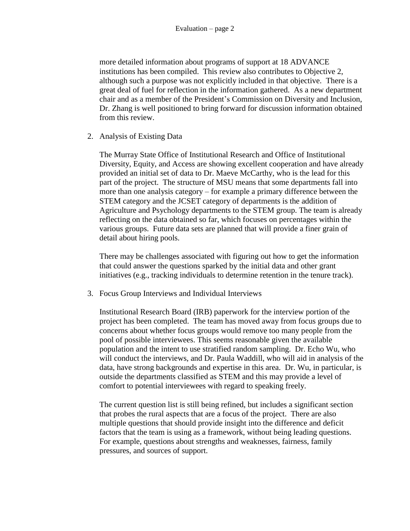more detailed information about programs of support at 18 ADVANCE institutions has been compiled. This review also contributes to Objective 2, although such a purpose was not explicitly included in that objective. There is a great deal of fuel for reflection in the information gathered. As a new department chair and as a member of the President's Commission on Diversity and Inclusion, Dr. Zhang is well positioned to bring forward for discussion information obtained from this review.

2. Analysis of Existing Data

The Murray State Office of Institutional Research and Office of Institutional Diversity, Equity, and Access are showing excellent cooperation and have already provided an initial set of data to Dr. Maeve McCarthy, who is the lead for this part of the project. The structure of MSU means that some departments fall into more than one analysis category – for example a primary difference between the STEM category and the JCSET category of departments is the addition of Agriculture and Psychology departments to the STEM group. The team is already reflecting on the data obtained so far, which focuses on percentages within the various groups. Future data sets are planned that will provide a finer grain of detail about hiring pools.

There may be challenges associated with figuring out how to get the information that could answer the questions sparked by the initial data and other grant initiatives (e.g., tracking individuals to determine retention in the tenure track).

3. Focus Group Interviews and Individual Interviews

Institutional Research Board (IRB) paperwork for the interview portion of the project has been completed. The team has moved away from focus groups due to concerns about whether focus groups would remove too many people from the pool of possible interviewees. This seems reasonable given the available population and the intent to use stratified random sampling. Dr. Echo Wu, who will conduct the interviews, and Dr. Paula Waddill, who will aid in analysis of the data, have strong backgrounds and expertise in this area. Dr. Wu, in particular, is outside the departments classified as STEM and this may provide a level of comfort to potential interviewees with regard to speaking freely.

The current question list is still being refined, but includes a significant section that probes the rural aspects that are a focus of the project. There are also multiple questions that should provide insight into the difference and deficit factors that the team is using as a framework, without being leading questions. For example, questions about strengths and weaknesses, fairness, family pressures, and sources of support.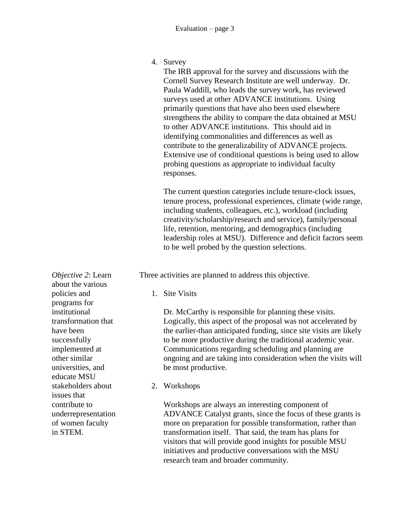4. Survey

The IRB approval for the survey and discussions with the Cornell Survey Research Institute are well underway. Dr. Paula Waddill, who leads the survey work, has reviewed surveys used at other ADVANCE institutions. Using primarily questions that have also been used elsewhere strengthens the ability to compare the data obtained at MSU to other ADVANCE institutions. This should aid in identifying commonalities and differences as well as contribute to the generalizability of ADVANCE projects. Extensive use of conditional questions is being used to allow probing questions as appropriate to individual faculty responses.

The current question categories include tenure-clock issues, tenure process, professional experiences, climate (wide range, including students, colleagues, etc.), workload (including creativity/scholarship/research and service), family/personal life, retention, mentoring, and demographics (including leadership roles at MSU). Difference and deficit factors seem to be well probed by the question selections.

Three activities are planned to address this objective.

1. Site Visits

Dr. McCarthy is responsible for planning these visits. Logically, this aspect of the proposal was not accelerated by the earlier-than anticipated funding, since site visits are likely to be more productive during the traditional academic year. Communications regarding scheduling and planning are ongoing and are taking into consideration when the visits will be most productive.

2. Workshops

Workshops are always an interesting component of ADVANCE Catalyst grants, since the focus of these grants is more on preparation for possible transformation, rather than transformation itself. That said, the team has plans for visitors that will provide good insights for possible MSU initiatives and productive conversations with the MSU research team and broader community.

*Objective 2*: Learn about the various policies and programs for institutional transformation that have been successfully implemented at other similar universities, and educate MSU stakeholders about issues that contribute to underrepresentation of women faculty in STEM.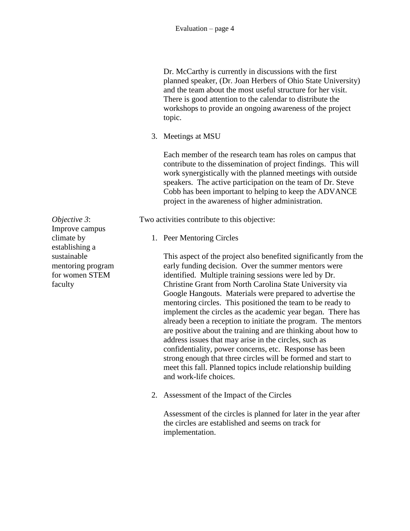Dr. McCarthy is currently in discussions with the first planned speaker, (Dr. Joan Herbers of Ohio State University) and the team about the most useful structure for her visit. There is good attention to the calendar to distribute the workshops to provide an ongoing awareness of the project topic.

3. Meetings at MSU

Each member of the research team has roles on campus that contribute to the dissemination of project findings. This will work synergistically with the planned meetings with outside speakers. The active participation on the team of Dr. Steve Cobb has been important to helping to keep the ADVANCE project in the awareness of higher administration.

Two activities contribute to this objective:

1. Peer Mentoring Circles

This aspect of the project also benefited significantly from the early funding decision. Over the summer mentors were identified. Multiple training sessions were led by Dr. Christine Grant from North Carolina State University via Google Hangouts. Materials were prepared to advertise the mentoring circles. This positioned the team to be ready to implement the circles as the academic year began. There has already been a reception to initiate the program. The mentors are positive about the training and are thinking about how to address issues that may arise in the circles, such as confidentiality, power concerns, etc. Response has been strong enough that three circles will be formed and start to meet this fall. Planned topics include relationship building and work-life choices.

2. Assessment of the Impact of the Circles

Assessment of the circles is planned for later in the year after the circles are established and seems on track for implementation.

*Objective 3*: Improve campus climate by establishing a sustainable mentoring program for women STEM faculty